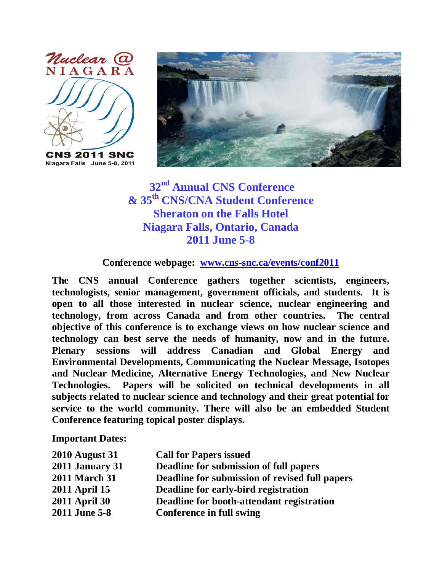

Niagara Falls June 5-8, 2011



**32nd Annual CNS Conference & 35th CNS/CNA Student Conference Sheraton on the Falls Hotel Niagara Falls, Ontario, Canada 2011 June 5-8**

## **Conference webpage: [www.cns-snc.ca/events/conf2011](http://www.cns-snc.ca/events/conf2011)**

**The CNS annual Conference gathers together scientists, engineers, technologists, senior management, government officials, and students. It is open to all those interested in nuclear science, nuclear engineering and technology, from across Canada and from other countries. The central objective of this conference is to exchange views on how nuclear science and technology can best serve the needs of humanity, now and in the future. Plenary sessions will address Canadian and Global Energy and Environmental Developments, Communicating the Nuclear Message, Isotopes and Nuclear Medicine, Alternative Energy Technologies, and New Nuclear Technologies. Papers will be solicited on technical developments in all subjects related to nuclear science and technology and their great potential for service to the world community. There will also be an embedded Student Conference featuring topical poster displays.**

**Important Dates:**

| <b>2010 August 31</b>  | <b>Call for Papers issued</b>                  |
|------------------------|------------------------------------------------|
| <b>2011 January 31</b> | Deadline for submission of full papers         |
| <b>2011 March 31</b>   | Deadline for submission of revised full papers |
| <b>2011 April 15</b>   | Deadline for early-bird registration           |
| <b>2011 April 30</b>   | Deadline for booth-attendant registration      |
| 2011 June 5-8          | <b>Conference in full swing</b>                |
|                        |                                                |